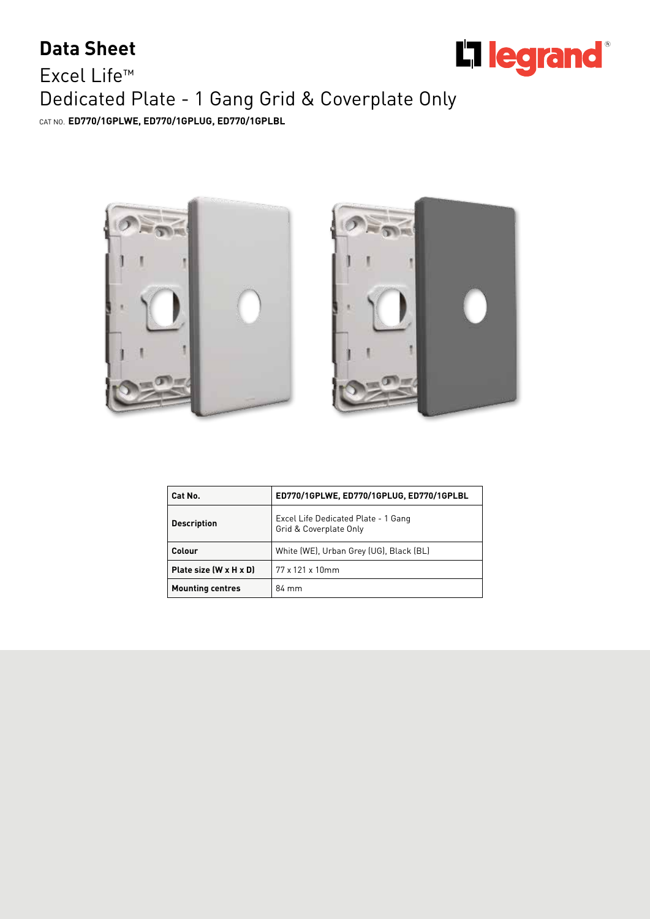## Li legrand<sup>®</sup>

## **Data Sheet** Excel Life™ Dedicated Plate - 1 Gang Grid & Coverplate Only CAT NO. **ED770/1GPLWE, ED770/1GPLUG, ED770/1GPLBL**





| Cat No.                 | ED770/1GPLWE, ED770/1GPLUG, ED770/1GPLBL                      |  |  |
|-------------------------|---------------------------------------------------------------|--|--|
| <b>Description</b>      | Excel Life Dedicated Plate - 1 Gang<br>Grid & Coverplate Only |  |  |
| Colour                  | White (WE), Urban Grey (UG), Black (BL)                       |  |  |
| Plate size (W x H x D)  | 77 x 121 x 10mm                                               |  |  |
| <b>Mounting centres</b> | 84 mm                                                         |  |  |